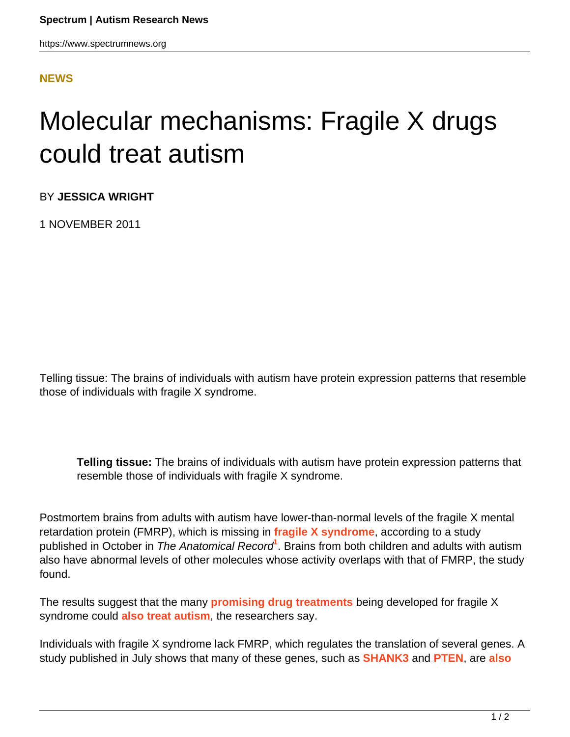## **[NEWS](HTTPS://WWW.SPECTRUMNEWS.ORG/NEWS/)**

## Molecular mechanisms: Fragile X drugs could treat autism

BY **JESSICA WRIGHT**

1 NOVEMBER 2011

Telling tissue: The brains of individuals with autism have protein expression patterns that resemble those of individuals with fragile X syndrome.

**Telling tissue:** The brains of individuals with autism have protein expression patterns that resemble those of individuals with fragile X syndrome.

Postmortem brains from adults with autism have lower-than-normal levels of the fragile X mental retardation protein (FMRP), which is missing in **[fragile X syndrome](https://www.spectrumnews.org/wiki/fragile-x)**, according to a study published in October in *The Anatomical Record*<sup>1</sup>. Brains from both children and adults with autism also have abnormal levels of other molecules whose activity overlaps with that of FMRP, the study found.

The results suggest that the many **[promising drug treatments](../../../../news-and-opinion/news/2011/pharma-companies-set-their-sights-on-autism)** being developed for fragile X syndrome could **[also treat autism](https://www.spectrumnews.org/viewpoint/2011/drug-trials-for-fragile-x-syndrome-lead-the-way-for-autism-therapies)**, the researchers say.

Individuals with fragile X syndrome lack FMRP, which regulates the translation of several genes. A study published in July shows that many of these genes, such as **[SHANK3](https://gene.sfari.org/humangene/detail/SHANK3)** and **[PTEN](https://gene.sfari.org/autdb/humangene/detail/PTEN)**, are **[also](https://www.spectrumnews.org/news/2011/fragile-x-protein-found-to-regulate-key-autism-candidates)**